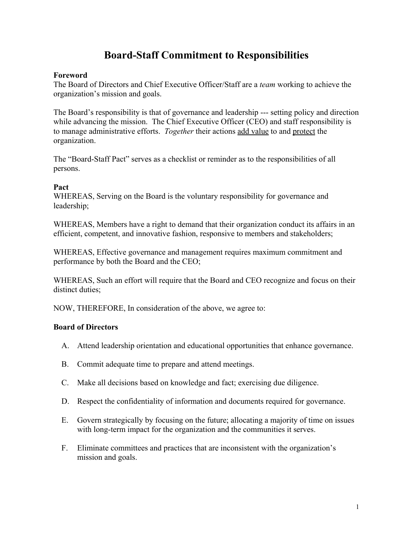# **Board-Staff Commitment to Responsibilities**

### **Foreword**

The Board of Directors and Chief Executive Officer/Staff are a *team* working to achieve the organization's mission and goals.

The Board's responsibility is that of governance and leadership --- setting policy and direction while advancing the mission. The Chief Executive Officer (CEO) and staff responsibility is to manage administrative efforts. *Together* their actions add value to and protect the organization.

The "Board-Staff Pact" serves as a checklist or reminder as to the responsibilities of all persons.

#### **Pact**

WHEREAS, Serving on the Board is the voluntary responsibility for governance and leadership;

WHEREAS, Members have a right to demand that their organization conduct its affairs in an efficient, competent, and innovative fashion, responsive to members and stakeholders;

WHEREAS, Effective governance and management requires maximum commitment and performance by both the Board and the CEO;

WHEREAS, Such an effort will require that the Board and CEO recognize and focus on their distinct duties;

NOW, THEREFORE, In consideration of the above, we agree to:

## **Board of Directors**

- A. Attend leadership orientation and educational opportunities that enhance governance.
- B. Commit adequate time to prepare and attend meetings.
- C. Make all decisions based on knowledge and fact; exercising due diligence.
- D. Respect the confidentiality of information and documents required for governance.
- E. Govern strategically by focusing on the future; allocating a majority of time on issues with long-term impact for the organization and the communities it serves.
- F. Eliminate committees and practices that are inconsistent with the organization's mission and goals.